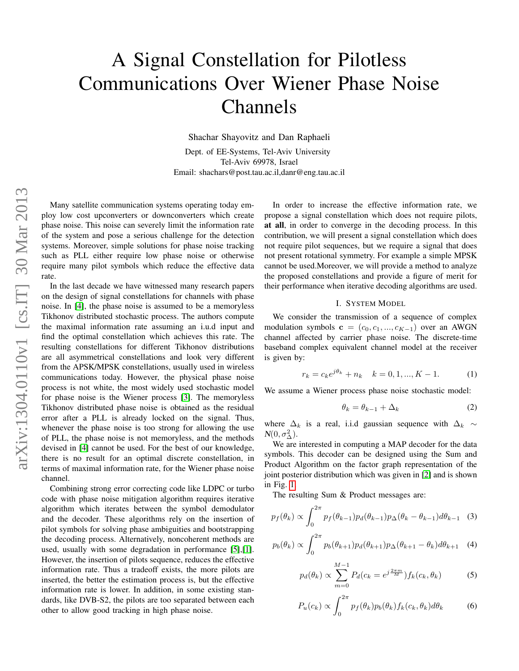# A Signal Constellation for Pilotless Communications Over Wiener Phase Noise Channels

Shachar Shayovitz and Dan Raphaeli Dept. of EE-Systems, Tel-Aviv University Tel-Aviv 69978, Israel Email: shachars@post.tau.ac.il,danr@eng.tau.ac.il

Many satellite communication systems operating today employ low cost upconverters or downconverters which create phase noise. This noise can severely limit the information rate of the system and pose a serious challenge for the detection systems. Moreover, simple solutions for phase noise tracking such as PLL either require low phase noise or otherwise require many pilot symbols which reduce the effective data rate.

In the last decade we have witnessed many research papers on the design of signal constellations for channels with phase noise. In [\[4\]](#page-3-0), the phase noise is assumed to be a memoryless Tikhonov distributed stochastic process. The authors compute the maximal information rate assuming an i.u.d input and find the optimal constellation which achieves this rate. The resulting constellations for different Tikhonov distributions are all asymmetrical constellations and look very different from the APSK/MPSK constellations, usually used in wireless communications today. However, the physical phase noise process is not white, the most widely used stochastic model for phase noise is the Wiener process [\[3\]](#page-3-1). The memoryless Tikhonov distributed phase noise is obtained as the residual error after a PLL is already locked on the signal. Thus, whenever the phase noise is too strong for allowing the use of PLL, the phase noise is not memoryless, and the methods devised in [\[4\]](#page-3-0) cannot be used. For the best of our knowledge, there is no result for an optimal discrete constellation, in terms of maximal information rate, for the Wiener phase noise channel.

Combining strong error correcting code like LDPC or turbo code with phase noise mitigation algorithm requires iterative algorithm which iterates between the symbol demodulator and the decoder. These algorithms rely on the insertion of pilot symbols for solving phase ambiguities and bootstrapping the decoding process. Alternatively, noncoherent methods are used, usually with some degradation in performance [\[5\]](#page-3-2),[\[1\]](#page-3-3). However, the insertion of pilots sequence, reduces the effective information rate. Thus a tradeoff exists, the more pilots are inserted, the better the estimation process is, but the effective information rate is lower. In addition, in some existing standards, like DVB-S2, the pilots are too separated between each other to allow good tracking in high phase noise.

In order to increase the effective information rate, we propose a signal constellation which does not require pilots, at all, in order to converge in the decoding process. In this contribution, we will present a signal constellation which does not require pilot sequences, but we require a signal that does not present rotational symmetry. For example a simple MPSK cannot be used.Moreover, we will provide a method to analyze the proposed constellations and provide a figure of merit for their performance when iterative decoding algorithms are used.

#### I. SYSTEM MODEL

We consider the transmission of a sequence of complex modulation symbols  $\mathbf{c} = (c_0, c_1, ..., c_{K-1})$  over an AWGN channel affected by carrier phase noise. The discrete-time baseband complex equivalent channel model at the receiver is given by:

<span id="page-0-1"></span>
$$
r_k = c_k e^{j\theta_k} + n_k \quad k = 0, 1, ..., K - 1.
$$
 (1)

We assume a Wiener process phase noise stochastic model:

$$
\theta_k = \theta_{k-1} + \Delta_k \tag{2}
$$

where  $\Delta_k$  is a real, i.i.d gaussian sequence with  $\Delta_k \sim$  $N(0, \sigma_{\Delta}^2)$ .

We are interested in computing a MAP decoder for the data symbols. This decoder can be designed using the Sum and Product Algorithm on the factor graph representation of the joint posterior distribution which was given in [\[2\]](#page-3-4) and is shown in Fig. [1.](#page-1-0)

The resulting Sum & Product messages are:

<span id="page-0-0"></span>
$$
p_f(\theta_k) \propto \int_0^{2\pi} p_f(\theta_{k-1}) p_d(\theta_{k-1}) p_{\Delta}(\theta_k - \theta_{k-1}) d\theta_{k-1} \quad (3)
$$

$$
p_b(\theta_k) \propto \int_0^{2\pi} p_b(\theta_{k+1}) p_d(\theta_{k+1}) p_\Delta(\theta_{k+1} - \theta_k) d\theta_{k+1} \quad (4)
$$

$$
p_d(\theta_k) \propto \sum_{m=0}^{M-1} P_d(c_k = e^{j\frac{2\pi m}{M}}) f_k(c_k, \theta_k)
$$
 (5)

$$
P_u(c_k) \propto \int_0^{2\pi} p_f(\theta_k) p_b(\theta_k) f_k(c_k, \theta_k) d\theta_k \tag{6}
$$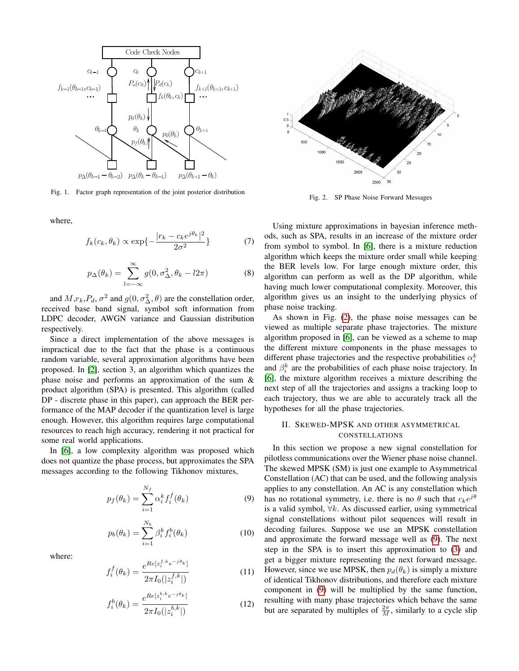

<span id="page-1-0"></span>Fig. 1. Factor graph representation of the joint posterior distribution

where,

$$
f_k(c_k, \theta_k) \propto \exp\{-\frac{|r_k - c_k e^{j\theta_k}|^2}{2\sigma^2}\}\tag{7}
$$

$$
p_{\Delta}(\theta_k) = \sum_{l=-\infty}^{\infty} g(0, \sigma_{\Delta}^2, \theta_k - l2\pi)
$$
 (8)

and  $M, r_k, P_d, \sigma^2$  and  $g(0, \sigma_{\Delta}^2, \theta)$  are the constellation order, received base band signal, symbol soft information from LDPC decoder, AWGN variance and Gaussian distribution respectively.

Since a direct implementation of the above messages is impractical due to the fact that the phase is a continuous random variable, several approximation algorithms have been proposed. In [\[2\]](#page-3-4), section 3, an algorithm which quantizes the phase noise and performs an approximation of the sum & product algorithm (SPA) is presented. This algorithm (called DP - discrete phase in this paper), can approach the BER performance of the MAP decoder if the quantization level is large enough. However, this algorithm requires large computational resources to reach high accuracy, rendering it not practical for some real world applications.

In [\[6\]](#page-3-5), a low complexity algorithm was proposed which does not quantize the phase process, but approximates the SPA messages according to the following Tikhonov mixtures,

<span id="page-1-2"></span>
$$
p_f(\theta_k) = \sum_{i=1}^{N_f} \alpha_i^k f_i^f(\theta_k)
$$
\n(9)

$$
p_b(\theta_k) = \sum_{i=1}^{N_b} \beta_i^k f_i^b(\theta_k)
$$
 (10)

where:

$$
f_i^f(\theta_k) = \frac{e^{Re[z_i^{f,k}e^{-j\theta_k}]} }{2\pi I_0(|z_i^{f,k}|)}
$$
(11)

$$
f_i^b(\theta_k) = \frac{e^{Re[z_i^{b,k}e^{-j\theta_k}]} }{2\pi I_0(|z_i^{b,k}|)}
$$
(12)



<span id="page-1-1"></span>Fig. 2. SP Phase Noise Forward Messages

Using mixture approximations in bayesian inference methods, such as SPA, results in an increase of the mixture order from symbol to symbol. In [\[6\]](#page-3-5), there is a mixture reduction algorithm which keeps the mixture order small while keeping the BER levels low. For large enough mixture order, this algorithm can perform as well as the DP algorithm, while having much lower computational complexity. Moreover, this algorithm gives us an insight to the underlying physics of phase noise tracking.

As shown in Fig. [\(2\)](#page-1-1), the phase noise messages can be viewed as multiple separate phase trajectories. The mixture algorithm proposed in [\[6\]](#page-3-5), can be viewed as a scheme to map the different mixture components in the phase messages to different phase trajectories and the respective probabilities  $\alpha_i^k$ and  $\beta_i^k$  are the probabilities of each phase noise trajectory. In [\[6\]](#page-3-5), the mixture algorithm receives a mixture describing the next step of all the trajectories and assigns a tracking loop to each trajectory, thus we are able to accurately track all the hypotheses for all the phase trajectories.

## II. SKEWED-MPSK AND OTHER ASYMMETRICAL CONSTELLATIONS

In this section we propose a new signal constellation for pilotless communications over the Wiener phase noise channel. The skewed MPSK (SM) is just one example to Asymmetrical Constellation (AC) that can be used, and the following analysis applies to any constellation. An AC is any constellation which has no rotational symmetry, i.e. there is no  $\theta$  such that  $c_k e^{j\theta}$ is a valid symbol,  $\forall k$ . As discussed earlier, using symmetrical signal constellations without pilot sequences will result in decoding failures. Suppose we use an MPSK constellation and approximate the forward message well as [\(9\)](#page-1-2). The next step in the SPA is to insert this approximation to [\(3\)](#page-0-0) and get a bigger mixture representing the next forward message. However, since we use MPSK, then  $p_d(\theta_k)$  is simply a mixture of identical Tikhonov distributions, and therefore each mixture component in [\(9\)](#page-1-2) will be multiplied by the same function, resulting with many phase trajectories which behave the same but are separated by multiples of  $\frac{2\pi}{M}$ , similarly to a cycle slip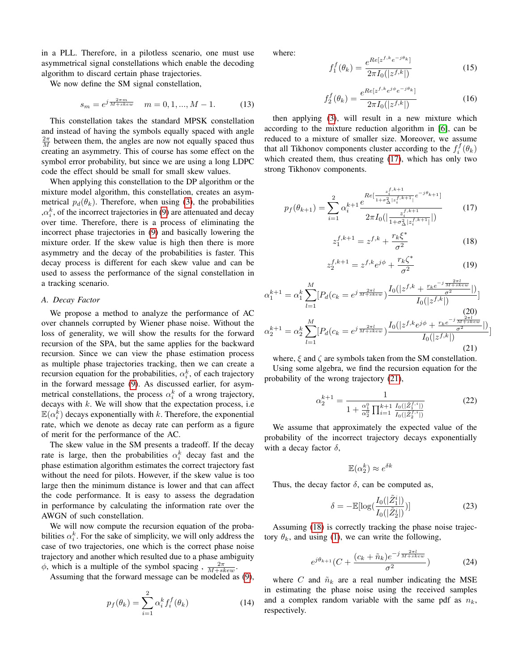in a PLL. Therefore, in a pilotless scenario, one must use asymmetrical signal constellations which enable the decoding algorithm to discard certain phase trajectories.

We now define the SM signal constellation,

$$
s_m = e^{j\frac{2\pi m}{M + skew}} \quad m = 0, 1, ..., M - 1.
$$
 (13)

This constellation takes the standard MPSK constellation and instead of having the symbols equally spaced with angle  $\frac{2\pi}{M}$  between them, the angles are now not equally spaced thus creating an asymmetry. This of course has some effect on the symbol error probability, but since we are using a long LDPC code the effect should be small for small skew values.

When applying this constellation to the DP algorithm or the mixture model algorithm, this constellation, creates an asymmetrical  $p_d(\theta_k)$ . Therefore, when using [\(3\)](#page-0-0), the probabilities , $\alpha_i^k$ , of the incorrect trajectories in [\(9\)](#page-1-2) are attenuated and decay over time. Therefore, there is a process of eliminating the incorrect phase trajectories in [\(9\)](#page-1-2) and basically lowering the mixture order. If the skew value is high then there is more asymmetry and the decay of the probabilities is faster. This decay process is different for each skew value and can be used to assess the performance of the signal constellation in a tracking scenario.

#### *A. Decay Factor*

We propose a method to analyze the performance of AC over channels corrupted by Wiener phase noise. Without the loss of generality, we will show the results for the forward recursion of the SPA, but the same applies for the backward recursion. Since we can view the phase estimation process as multiple phase trajectories tracking, then we can create a recursion equation for the probabilities,  $\alpha_i^k$ , of each trajectory in the forward message [\(9\)](#page-1-2). As discussed earlier, for asymmetrical constellations, the process  $\alpha_i^k$  of a wrong trajectory, decays with  $k$ . We will show that the expectation process, i.e  $\mathbb{E}(\alpha_i^{\overline{k}})$  decays exponentially with k. Therefore, the exponential rate, which we denote as decay rate can perform as a figure of merit for the performance of the AC.

The skew value in the SM presents a tradeoff. If the decay rate is large, then the probabilities  $\alpha_i^k$  decay fast and the phase estimation algorithm estimates the correct trajectory fast without the need for pilots. However, if the skew value is too large then the minimum distance is lower and that can affect the code performance. It is easy to assess the degradation in performance by calculating the information rate over the AWGN of such constellation.

We will now compute the recursion equation of the probabilities  $\alpha_i^k$ . For the sake of simplicity, we will only address the case of two trajectories, one which is the correct phase noise trajectory and another which resulted due to a phase ambiguity  $\phi$ , which is a multiple of the symbol spacing,  $\frac{2\pi}{M+skew}$ .

Assuming that the forward message can be modeled as [\(9\)](#page-1-2),

$$
p_f(\theta_k) = \sum_{i=1}^2 \alpha_i^k f_i^f(\theta_k)
$$
 (14)

where:

$$
f_1^f(\theta_k) = \frac{e^{Re[z^{f,k}e^{-j\theta_k}]} }{2\pi I_0(|z^{f,k}|)}
$$
(15)

$$
f_2^f(\theta_k) = \frac{e^{Re[z^{f,k}e^{j\phi}e^{-j\theta_k}]} }{2\pi I_0(|z^{f,k}|)}
$$
(16)

then applying [\(3\)](#page-0-0), will result in a new mixture which according to the mixture reduction algorithm in [\[6\]](#page-3-5), can be reduced to a mixture of smaller size. Moreover, we assume that all Tikhonov components cluster according to the  $f_i^f(\theta_k)$ which created them, thus creating [\(17\)](#page-2-0), which has only two strong Tikhonov components.

<span id="page-2-0"></span>
$$
p_f(\theta_{k+1}) = \sum_{i=1}^2 \alpha_i^{k+1} \frac{e^{R\epsilon \left[\frac{z_i^{f,k+1}}{1+\sigma_{\Delta}^2 | z_i^{f,k+1}|} e^{-j\theta_{k+1}}\right]}}{2\pi I_0\left(\left|\frac{z_i^{f,k+1}}{1+\sigma_{\Delta}^2 | z_i^{f,k+1}|}\right|\right)}
$$
(17)

<span id="page-2-2"></span>
$$
z_1^{f,k+1} = z^{f,k} + \frac{r_k \xi^*}{\sigma^2} \tag{18}
$$

$$
z_2^{f,k+1} = z^{f,k} e^{j\phi} + \frac{r_k \zeta^*}{\sigma^2}
$$
 (19)

$$
\alpha_1^{k+1} = \alpha_1^k \sum_{l=1}^M [P_d(c_k = e^{j\frac{2\pi l}{M+skew}}) \frac{I_0(|z^{f,k} + \frac{r_k e^{-j\frac{2\pi l}{M+skew}}}{\sigma^2})]}{I_0(|z^{f,k}|)}]
$$
  

$$
\alpha_2^{k+1} = \alpha_2^k \sum_{l=1}^M [P_d(c_k = e^{j\frac{2\pi l}{M+skew}}) \frac{I_0(|z^{f,k}e^{j\phi} + \frac{r_k e^{-j\frac{2\pi l}{M+skew}}}{\sigma^2})}{I_0(|z^{f,k}|)}
$$
(21)

<span id="page-2-1"></span>where,  $\xi$  and  $\zeta$  are symbols taken from the SM constellation. Using some algebra, we find the recursion equation for the probability of the wrong trajectory [\(21\)](#page-2-1),

$$
\alpha_2^{k+1} = \frac{1}{1 + \frac{\alpha_1^0}{\alpha_2^0} \prod_{i=1}^{k+1} \frac{I_0(|\tilde{Z}_1^{f,i}|)}{I_0(|\tilde{Z}_2^{f,i}|)}}
$$
(22)

We assume that approximately the expected value of the probability of the incorrect trajectory decays exponentially with a decay factor  $\delta$ ,

$$
\mathbb{E}(\alpha_2^k) \approx e^{\delta k}
$$

Thus, the decay factor  $\delta$ , can be computed as,

$$
\delta = -\mathbb{E}[\log(\frac{I_0(|\tilde{Z}_1^i|)}{I_0(|\tilde{Z}_2^i|)})]
$$
(23)

Assuming [\(18\)](#page-2-2) is correctly tracking the phase noise trajectory  $\theta_k$ , and using [\(1\)](#page-0-1), we can write the following,

<span id="page-2-3"></span>
$$
e^{j\theta_{k+1}}(C+\frac{(c_k+\tilde{n}_k)e^{-j\frac{2\pi l}{M+skew}}}{\sigma^2})
$$
 (24)

where C and  $\tilde{n}_k$  are a real number indicating the MSE in estimating the phase noise using the received samples and a complex random variable with the same pdf as  $n_k$ , respectively.